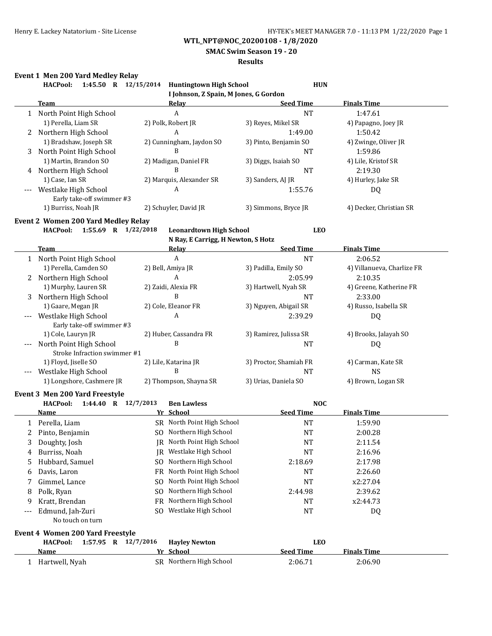**SMAC Swim Season 19 - 20**

## **Results**

# **Event 1 Men 200 Yard Medley Relay**

|     | Event 1 Men 200 Yard Medley Relay<br>1:45.50 R 12/15/2014<br><b>HACPool:</b> |     | <b>Huntingtown High School</b>        | <b>HUN</b>             |                            |
|-----|------------------------------------------------------------------------------|-----|---------------------------------------|------------------------|----------------------------|
|     |                                                                              |     | I Johnson, Z Spain, M Jones, G Gordon |                        |                            |
|     | <b>Team</b>                                                                  |     | <b>Relay</b>                          | <b>Seed Time</b>       | <b>Finals Time</b>         |
|     | 1 North Point High School                                                    |     | $\boldsymbol{A}$                      | <b>NT</b>              | 1:47.61                    |
|     | 1) Perella, Liam SR                                                          |     | 2) Polk, Robert JR                    | 3) Reyes, Mikel SR     | 4) Papagno, Joey JR        |
|     | 2 Northern High School                                                       |     | A                                     | 1:49.00                | 1:50.42                    |
|     | 1) Bradshaw, Joseph SR                                                       |     | 2) Cunningham, Jaydon SO              | 3) Pinto, Benjamin SO  | 4) Zwinge, Oliver JR       |
| 3   | North Point High School                                                      |     | B                                     | <b>NT</b>              | 1:59.86                    |
|     | 1) Martin, Brandon SO                                                        |     | 2) Madigan, Daniel FR                 | 3) Diggs, Isaiah SO    | 4) Lile, Kristof SR        |
| 4   | Northern High School                                                         |     | B                                     | <b>NT</b>              | 2:19.30                    |
|     | 1) Case, Ian SR                                                              |     | 2) Marquis, Alexander SR              | 3) Sanders, AJ JR      | 4) Hurley, Jake SR         |
|     | Westlake High School                                                         |     | A                                     | 1:55.76                | DQ                         |
|     | Early take-off swimmer #3                                                    |     |                                       |                        |                            |
|     | 1) Burriss, Noah JR                                                          |     | 2) Schuyler, David JR                 | 3) Simmons, Bryce JR   | 4) Decker, Christian SR    |
|     | <b>Event 2 Women 200 Yard Medley Relay</b>                                   |     |                                       |                        |                            |
|     | <b>HACPool:</b><br>1:55.69 R $1/22/2018$                                     |     | <b>Leonardtown High School</b>        | <b>LEO</b>             |                            |
|     |                                                                              |     | N Ray, E Carrigg, H Newton, S Hotz    |                        |                            |
|     | Team                                                                         |     | <b>Relay</b>                          | <b>Seed Time</b>       | <b>Finals Time</b>         |
|     | 1 North Point High School                                                    |     | $\boldsymbol{A}$                      | <b>NT</b>              | 2:06.52                    |
|     | 1) Perella, Camden SO                                                        |     | 2) Bell, Amiya JR                     | 3) Padilla, Emily SO   | 4) Villanueva, Charlize FR |
|     | 2 Northern High School                                                       |     | A                                     | 2:05.99                | 2:10.35                    |
|     | 1) Murphy, Lauren SR                                                         |     | 2) Zaidi, Alexia FR                   | 3) Hartwell, Nyah SR   | 4) Greene, Katherine FR    |
| 3   | Northern High School                                                         |     | B                                     | NT                     | 2:33.00                    |
|     | 1) Gaare, Megan JR                                                           |     | 2) Cole, Eleanor FR                   | 3) Nguyen, Abigail SR  | 4) Russo, Isabella SR      |
|     | Westlake High School                                                         |     | A                                     | 2:39.29                | DQ                         |
|     | Early take-off swimmer #3                                                    |     |                                       |                        |                            |
|     | 1) Cole, Lauryn JR                                                           |     | 2) Huber, Cassandra FR                | 3) Ramirez, Julissa SR | 4) Brooks, Jalayah SO      |
|     | North Point High School                                                      |     | B                                     | NT                     | DQ                         |
|     | Stroke Infraction swimmer #1                                                 |     |                                       |                        |                            |
|     | 1) Floyd, Jiselle SO                                                         |     | 2) Lile, Katarina JR                  | 3) Proctor, Shamiah FR | 4) Carman, Kate SR         |
|     | Westlake High School                                                         |     | B                                     | <b>NT</b>              | <b>NS</b>                  |
|     | 1) Longshore, Cashmere JR                                                    |     | 2) Thompson, Shayna SR                | 3) Urias, Daniela SO   | 4) Brown, Logan SR         |
|     | Event 3 Men 200 Yard Freestyle                                               |     |                                       |                        |                            |
|     | 1:44.40 R 12/7/2013<br><b>HACPool:</b>                                       |     | <b>Ben Lawless</b>                    | <b>NOC</b>             |                            |
|     | <b>Name</b>                                                                  |     | Yr School                             | <b>Seed Time</b>       | <b>Finals Time</b>         |
|     | 1 Perella, Liam                                                              |     | SR North Point High School            | <b>NT</b>              | 1:59.90                    |
| 2   | Pinto, Benjamin                                                              |     | SO Northern High School               | <b>NT</b>              | 2:00.28                    |
| 3   | Doughty, Josh                                                                |     | JR North Point High School            | <b>NT</b>              | 2:11.54                    |
| 4   | Burriss, Noah                                                                |     | JR Westlake High School               | NT                     | 2:16.96                    |
| 5   | Hubbard, Samuel                                                              | SO. | Northern High School                  | 2:18.69                | 2:17.98                    |
| 6   | Davis, Laron                                                                 | FR  | North Point High School               | NT                     | 2:26.60                    |
| 7   | Gimmel, Lance                                                                | SO. | North Point High School               | NT                     | x2:27.04                   |
| 8   | Polk, Ryan                                                                   | SO. | Northern High School                  | 2:44.98                | 2:39.62                    |
| 9   | Kratt, Brendan                                                               | FR  | Northern High School                  | NT                     | x2:44.73                   |
| --- | Edmund, Jah-Zuri                                                             |     | SO Westlake High School               | <b>NT</b>              | DQ                         |
|     | No touch on turn                                                             |     |                                       |                        |                            |
|     | Event 4 Women 200 Yard Freestyle                                             |     |                                       |                        |                            |
|     | 1:57.95 R 12/7/2016<br><b>HACPool:</b>                                       |     | <b>Hayley Newton</b>                  | <b>LEO</b>             |                            |
|     | <u>Name</u>                                                                  |     | Yr School                             | <b>Seed Time</b>       | <b>Finals Time</b>         |
|     | 1 Hartwell, Nyah                                                             |     | SR Northern High School               | 2:06.71                | 2:06.90                    |
|     |                                                                              |     |                                       |                        |                            |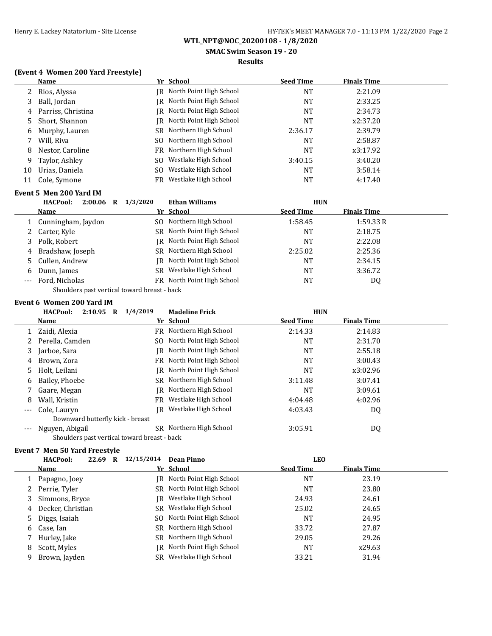**SMAC Swim Season 19 - 20**

## **Results**

# **(Event 4 Women 200 Yard Freestyle)**

| <b>Name</b>                               |           |                         |                                                                                                                                          | <b>Finals Time</b> |  |
|-------------------------------------------|-----------|-------------------------|------------------------------------------------------------------------------------------------------------------------------------------|--------------------|--|
| Rios, Alyssa                              |           |                         | NT                                                                                                                                       | 2:21.09            |  |
| Ball, Jordan                              | IR        | North Point High School | NT                                                                                                                                       | 2:33.25            |  |
| Parriss, Christina                        |           |                         | <b>NT</b>                                                                                                                                | 2:34.73            |  |
| Short, Shannon                            | IR        | North Point High School | NT                                                                                                                                       | x2:37.20           |  |
| Murphy, Lauren                            |           | Northern High School    | 2:36.17                                                                                                                                  | 2:39.79            |  |
| Will, Riva                                | SO.       | Northern High School    | <b>NT</b>                                                                                                                                | 2:58.87            |  |
| Nestor, Caroline                          |           | Northern High School    | <b>NT</b>                                                                                                                                | x3:17.92           |  |
| Taylor, Ashley                            | SO.       | Westlake High School    | 3:40.15                                                                                                                                  | 3:40.20            |  |
| Urias, Daniela                            | SO.       | Westlake High School    | <b>NT</b>                                                                                                                                | 3:58.14            |  |
| Cole, Symone                              | FR        | Westlake High School    | NT                                                                                                                                       | 4:17.40            |  |
| Event 5 Men 200 Yard IM                   |           |                         |                                                                                                                                          |                    |  |
| <b>HACPool:</b><br>2:00.06<br>$\mathbf R$ | 1/3/2020  | <b>Ethan Williams</b>   | <b>HUN</b>                                                                                                                               |                    |  |
| Name                                      |           |                         | <b>Seed Time</b>                                                                                                                         | <u>Finals Time</u> |  |
| Cunningham, Jaydon                        |           |                         | 1:58.45                                                                                                                                  | 1:59.33R           |  |
| Carter, Kyle                              | SR        | North Point High School | NT                                                                                                                                       | 2:18.75            |  |
| Polk, Robert                              | IR        | North Point High School | <b>NT</b>                                                                                                                                | 2:22.08            |  |
| Bradshaw, Joseph                          | SR        | Northern High School    | 2:25.02                                                                                                                                  | 2:25.36            |  |
| Cullen, Andrew                            | IR        | North Point High School | <b>NT</b>                                                                                                                                | 2:34.15            |  |
| Dunn, James                               | <b>SR</b> | Westlake High School    | NT                                                                                                                                       | 3:36.72            |  |
| Ford, Nicholas                            |           |                         | <b>NT</b>                                                                                                                                | DQ                 |  |
|                                           |           | SR<br>FR<br>SO.         | Yr School<br>JR North Point High School<br>IR North Point High School<br>Yr School<br>Northern High School<br>FR North Point High School | <b>Seed Time</b>   |  |

Shoulders past vertical toward breast - back

## **Event 6 Women 200 Yard IM**

|       | 2:10.95<br><b>HACPool:</b><br>$\mathbf R$    | 1/4/2019 | <b>Madeline Frick</b>      | <b>HUN</b>       |                    |  |
|-------|----------------------------------------------|----------|----------------------------|------------------|--------------------|--|
|       | Name                                         |          | Yr School                  | <b>Seed Time</b> | <b>Finals Time</b> |  |
|       | Zaidi, Alexia                                |          | FR Northern High School    | 2:14.33          | 2:14.83            |  |
| 2     | Perella, Camden                              |          | SO North Point High School | NT               | 2:31.70            |  |
| 3     | Jarboe, Sara                                 |          | IR North Point High School | NT               | 2:55.18            |  |
| 4     | Brown, Zora                                  |          | FR North Point High School | <b>NT</b>        | 3:00.43            |  |
| 5.    | Holt, Leilani                                |          | IR North Point High School | NT               | x3:02.96           |  |
| 6     | Bailey, Phoebe                               |          | SR Northern High School    | 3:11.48          | 3:07.41            |  |
|       | Gaare, Megan                                 |          | IR Northern High School    | <b>NT</b>        | 3:09.61            |  |
| 8     | Wall, Kristin                                |          | FR Westlake High School    | 4:04.48          | 4:02.96            |  |
| $---$ | Cole, Lauryn                                 |          | IR Westlake High School    | 4:03.43          | DQ                 |  |
|       | Downward butterfly kick - breast             |          |                            |                  |                    |  |
|       | Nguyen, Abigail                              |          | SR Northern High School    | 3:05.91          | DQ                 |  |
|       | Shoulders past vertical toward breast - back |          |                            |                  |                    |  |

# **Event 7 Men 50 Yard Freestyle**

|    | <b>HACPool:</b><br>22.69 R | 12/15/2014 | Dean Pinno                 | <b>LEO</b>       |                    |
|----|----------------------------|------------|----------------------------|------------------|--------------------|
|    | <b>Name</b>                |            | Yr School                  | <b>Seed Time</b> | <b>Finals Time</b> |
|    | Papagno, Joey              |            | IR North Point High School | NT               | 23.19              |
|    | 2 Perrie, Tyler            |            | SR North Point High School | NT               | 23.80              |
| 3  | Simmons, Bryce             |            | IR Westlake High School    | 24.93            | 24.61              |
| 4  | Decker, Christian          |            | SR Westlake High School    | 25.02            | 24.65              |
| 5. | Diggs, Isaiah              |            | SO North Point High School | NT               | 24.95              |
|    | 6 Case, Ian                |            | SR Northern High School    | 33.72            | 27.87              |
|    | Hurley, Jake               |            | SR Northern High School    | 29.05            | 29.26              |
| 8  | Scott, Myles               |            | IR North Point High School | NT               | x29.63             |
| 9. | Brown, Jayden              |            | SR Westlake High School    | 33.21            | 31.94              |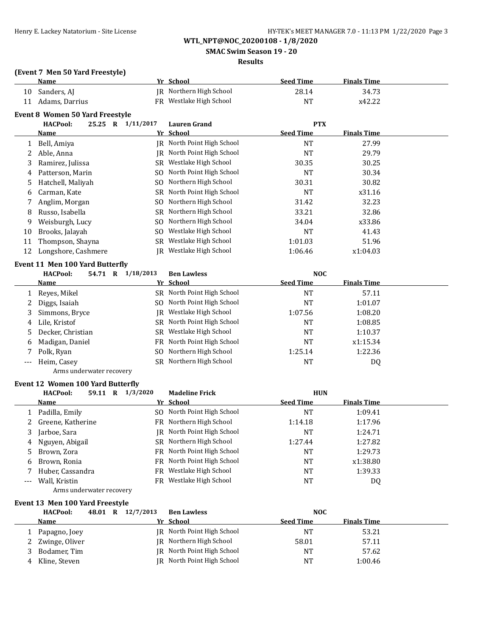**SMAC Swim Season 19 - 20**

## **Results**

## **(Event 7 Men 50 Yard Freestyle)**

|    | <b>Name</b>                     |           | Yr School               | <b>Seed Time</b> | <b>Finals Time</b> |  |
|----|---------------------------------|-----------|-------------------------|------------------|--------------------|--|
| 10 | Sanders, AJ                     |           | IR Northern High School | 28.14            | 34.73              |  |
| 11 | Adams, Darrius                  |           | FR Westlake High School | NT               | x42.22             |  |
|    | Event 8 Women 50 Yard Freestvle |           |                         |                  |                    |  |
|    | <b>HACPool:</b><br>25.25 R      | 1/11/2017 | <b>Lauren Grand</b>     | <b>PTX</b>       |                    |  |
|    | <b>Name</b>                     |           | Yr School               | <b>Seed Time</b> | <b>Finals Time</b> |  |
|    | Bell, Amiya                     | IR        | North Point High School | NT               | 27.99              |  |
| 2  | Able, Anna                      | IR-       | North Point High School | NT               | 29.79              |  |
| 3  | Ramirez, Julissa                | SR.       | Westlake High School    | 30.35            | 30.25              |  |
| 4  | Patterson, Marin                | SO.       | North Point High School | NT               | 30.34              |  |
| 5  | Hatchell, Maliyah               | SO.       | Northern High School    | 30.31            | 30.82              |  |
| 6  | Carman, Kate                    | SR        | North Point High School | NT               | x31.16             |  |
|    | Anglim, Morgan                  | SO.       | Northern High School    | 31.42            | 32.23              |  |
| 8  | Russo, Isabella                 | SR        | Northern High School    | 33.21            | 32.86              |  |
| 9  | Weisburgh, Lucy                 |           | SO Northern High School | 34.04            | x33.86             |  |

# 10 Brooks, Jalayah SO Westlake High School NT 41.43<br>11 Thompson, Shayna SR Westlake High School 1:01.03 51.96 11 Thompson, Shayna SR Westlake High School 1:01.03 12 Longshore, Cashmere JR Westlake High School 1:06.46 x1:04.03

## **Event 11 Men 100 Yard Butterfly**

|       | <b>HACPool:</b><br>54.71<br>R | 1/18/2013 | <b>Ben Lawless</b>         | <b>NOC</b>       |                    |  |
|-------|-------------------------------|-----------|----------------------------|------------------|--------------------|--|
|       | <b>Name</b>                   |           | Yr School                  | <b>Seed Time</b> | <b>Finals Time</b> |  |
|       | 1 Reyes, Mikel                |           | SR North Point High School | <b>NT</b>        | 57.11              |  |
|       | Diggs, Isaiah                 |           | SO North Point High School | NT               | 1:01.07            |  |
|       | 3 Simmons, Bryce              |           | IR Westlake High School    | 1:07.56          | 1:08.20            |  |
|       | 4 Lile, Kristof               |           | SR North Point High School | NT               | 1:08.85            |  |
|       | 5 Decker, Christian           |           | SR Westlake High School    | NT               | 1:10.37            |  |
|       | 6 Madigan, Daniel             |           | FR North Point High School | NT               | x1:15.34           |  |
|       | 7 Polk, Ryan                  |           | SO Northern High School    | 1:25.14          | 1:22.36            |  |
| $---$ | Heim, Casey                   |           | SR Northern High School    | <b>NT</b>        | DQ                 |  |
|       | Arms underwater recovery      |           |                            |                  |                    |  |

# **Event 12 Women 100 Yard Butterfly**

|       | <b>HACPool:</b><br>59.11<br>$\mathbf R$ | 1/3/2020 | <b>Madeline Frick</b>      | <b>HUN</b>       |                    |  |
|-------|-----------------------------------------|----------|----------------------------|------------------|--------------------|--|
|       | Name                                    |          | Yr School                  | <b>Seed Time</b> | <b>Finals Time</b> |  |
|       | 1 Padilla, Emily                        |          | SO North Point High School | <b>NT</b>        | 1:09.41            |  |
|       | 2 Greene, Katherine                     |          | FR Northern High School    | 1:14.18          | 1:17.96            |  |
| 3     | Jarboe, Sara                            |          | IR North Point High School | <b>NT</b>        | 1:24.71            |  |
| 4     | Nguyen, Abigail                         |          | SR Northern High School    | 1:27.44          | 1:27.82            |  |
| 5     | Brown, Zora                             |          | FR North Point High School | <b>NT</b>        | 1:29.73            |  |
| 6     | Brown, Ronia                            |          | FR North Point High School | <b>NT</b>        | x1:38.80           |  |
|       | Huber, Cassandra                        |          | FR Westlake High School    | NT               | 1:39.33            |  |
| $---$ | Wall, Kristin                           |          | FR Westlake High School    | NT               | DQ                 |  |
|       | Arms underwater recovery                |          |                            |                  |                    |  |

## **Event 13 Men 100 Yard Freestyle**

|   | <b>HACPool:</b>  |  | 48.01 R 12/7/2013 | <b>Ben Lawless</b>         | <b>NOC</b>       |                    |  |
|---|------------------|--|-------------------|----------------------------|------------------|--------------------|--|
|   | <b>Name</b>      |  |                   | Yr School                  | <b>Seed Time</b> | <b>Finals Time</b> |  |
|   | Papagno, Joey    |  |                   | IR North Point High School | NT               | 53.21              |  |
|   | 2 Zwinge, Oliver |  |                   | IR Northern High School    | 58.01            | 57.11              |  |
|   | Bodamer, Tim     |  |                   | JR North Point High School | NT               | 57.62              |  |
| 4 | Kline, Steven    |  |                   | IR North Point High School | <b>NT</b>        | 1:00.46            |  |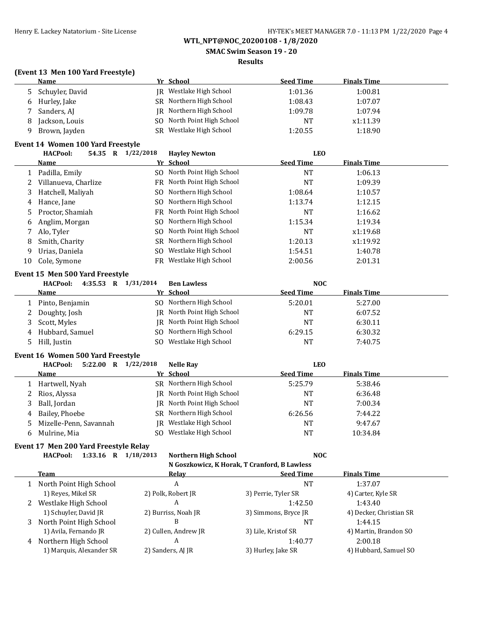**SMAC Swim Season 19 - 20**

## **Results**

# **(Event 13 Men 100 Yard Freestyle)**

|   | <b>Name</b>       |     | Yr School               | <b>Seed Time</b> | <b>Finals Time</b> |  |
|---|-------------------|-----|-------------------------|------------------|--------------------|--|
|   | 5 Schuyler, David |     | IR Westlake High School | 1:01.36          | 1:00.81            |  |
|   | 6 Hurley, Jake    |     | SR Northern High School | 1:08.43          | 1:07.07            |  |
|   | Sanders, AJ       |     | IR Northern High School | 1:09.78          | 1:07.94            |  |
| 8 | Jackson, Louis    | SO. | North Point High School | NT               | x1:11.39           |  |
|   | Brown, Jayden     | SR. | Westlake High School    | 1:20.55          | 1:18.90            |  |

### **Event 14 Women 100 Yard Freestyle**

|    | <b>HACPool:</b><br>54.35<br>R | 1/22/2018 | <b>Hayley Newton</b>       | <b>LEO</b>       |                    |  |
|----|-------------------------------|-----------|----------------------------|------------------|--------------------|--|
|    | Name                          |           | Yr School                  | <b>Seed Time</b> | <b>Finals Time</b> |  |
|    | Padilla, Emily                |           | SO North Point High School | <b>NT</b>        | 1:06.13            |  |
|    | Villanueva, Charlize          |           | FR North Point High School | NT               | 1:09.39            |  |
| 3  | Hatchell, Maliyah             |           | SO Northern High School    | 1:08.64          | 1:10.57            |  |
| 4  | Hance, Jane                   |           | SO Northern High School    | 1:13.74          | 1:12.15            |  |
|    | 5 Proctor, Shamiah            |           | FR North Point High School | <b>NT</b>        | 1:16.62            |  |
| 6  | Anglim, Morgan                |           | SO Northern High School    | 1:15.34          | 1:19.34            |  |
| 7  | Alo, Tyler                    |           | SO North Point High School | <b>NT</b>        | x1:19.68           |  |
| 8  | Smith, Charity                |           | SR Northern High School    | 1:20.13          | x1:19.92           |  |
| 9  | Urias, Daniela                | SO.       | Westlake High School       | 1:54.51          | 1:40.78            |  |
| 10 | Cole, Symone                  |           | FR Westlake High School    | 2:00.56          | 2:01.31            |  |

## **Event 15 Men 500 Yard Freestyle**

|     | $4:35.53$ R<br><b>HACPool:</b> | 1/31/2014 | <b>Ben Lawless</b>         | NOC              |                    |
|-----|--------------------------------|-----------|----------------------------|------------------|--------------------|
|     | Name                           | Yr School |                            | <b>Seed Time</b> | <b>Finals Time</b> |
|     | Pinto, Benjamin                |           | SO Northern High School    | 5:20.01          | 5:27.00            |
|     | 2 Doughty, Josh                |           | JR North Point High School | NT               | 6:07.52            |
|     | 3 Scott, Myles                 |           | IR North Point High School | NT               | 6:30.11            |
|     | 4 Hubbard, Samuel              |           | SO Northern High School    | 6:29.15          | 6:30.32            |
| . כ | Hill, Justin                   | SO.       | Westlake High School       | <b>NT</b>        | 7:40.75            |

## **Event 16 Women 500 Yard Freestyle**

|    | 5:22.00<br><b>HACPool:</b><br>R | 1/22/2018 | <b>Nelle Ray</b>           | LEO              |                    |
|----|---------------------------------|-----------|----------------------------|------------------|--------------------|
|    | Name                            |           | Yr School                  | <b>Seed Time</b> | <b>Finals Time</b> |
|    | Hartwell, Nyah                  |           | SR Northern High School    | 5:25.79          | 5:38.46            |
|    | 2 Rios, Alyssa                  |           | IR North Point High School | <b>NT</b>        | 6:36.48            |
|    | 3 Ball, Jordan                  |           | IR North Point High School | NT               | 7:00.34            |
|    | 4 Bailey, Phoebe                |           | SR Northern High School    | 6:26.56          | 7:44.22            |
|    | 5 Mizelle-Penn, Savannah        |           | IR Westlake High School    | <b>NT</b>        | 9:47.67            |
| 6. | Mulrine, Mia                    | SO.       | Westlake High School       | <b>NT</b>        | 10:34.84           |

### **Event 17 Men 200 Yard Freestyle Relay**

|              | <b>HACPool:</b><br>1:33.16 | <b>Northern High School</b><br>1/18/2013     | <b>NOC</b>           |                         |  |
|--------------|----------------------------|----------------------------------------------|----------------------|-------------------------|--|
|              |                            | N Goszkowicz, K Horak, T Cranford, B Lawless |                      |                         |  |
|              | <b>Team</b>                | Relav                                        | <b>Seed Time</b>     | <b>Finals Time</b>      |  |
| $\mathbf{1}$ | North Point High School    | A                                            | <b>NT</b>            | 1:37.07                 |  |
|              | 1) Reyes, Mikel SR         | 2) Polk, Robert JR                           | 3) Perrie, Tyler SR  | 4) Carter, Kyle SR      |  |
| 2            | Westlake High School       | A                                            | 1:42.50              | 1:43.40                 |  |
|              | 1) Schuyler, David JR      | 2) Burriss, Noah JR                          | 3) Simmons, Bryce JR | 4) Decker, Christian SR |  |
|              | 3 North Point High School  | B                                            | <b>NT</b>            | 1:44.15                 |  |
|              | 1) Avila, Fernando JR      | 2) Cullen, Andrew JR                         | 3) Lile, Kristof SR  | 4) Martin, Brandon SO   |  |
| 4            | Northern High School       | A                                            | 1:40.77              | 2:00.18                 |  |
|              | 1) Marquis, Alexander SR   | 2) Sanders, AJ JR                            | 3) Hurley, Jake SR   | 4) Hubbard, Samuel SO   |  |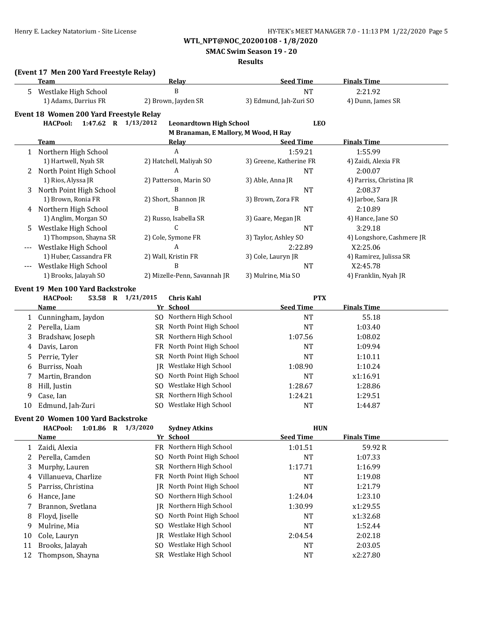**SMAC Swim Season 19 - 20**

## **Results**

# **(Event 17 Men 200 Yard Freestyle Relay)**

| 2:21.92<br><b>NT</b><br>3) Edmund, Jah-Zuri SO<br>4) Dunn, James SR<br><b>LEO</b><br><b>Seed Time</b><br><b>Finals Time</b><br>1:59.21<br>1:55.99<br>3) Greene, Katherine FR<br>4) Zaidi, Alexia FR<br><b>NT</b><br>2:00.07<br>4) Parriss, Christina JR<br><b>NT</b><br>2:08.37 |
|---------------------------------------------------------------------------------------------------------------------------------------------------------------------------------------------------------------------------------------------------------------------------------|
|                                                                                                                                                                                                                                                                                 |
|                                                                                                                                                                                                                                                                                 |
|                                                                                                                                                                                                                                                                                 |
|                                                                                                                                                                                                                                                                                 |
|                                                                                                                                                                                                                                                                                 |
|                                                                                                                                                                                                                                                                                 |
|                                                                                                                                                                                                                                                                                 |
|                                                                                                                                                                                                                                                                                 |
|                                                                                                                                                                                                                                                                                 |
|                                                                                                                                                                                                                                                                                 |
|                                                                                                                                                                                                                                                                                 |
| 4) Jarboe, Sara JR                                                                                                                                                                                                                                                              |
| <b>NT</b><br>2:10.89                                                                                                                                                                                                                                                            |
| 4) Hance, Jane SO                                                                                                                                                                                                                                                               |
| <b>NT</b><br>3:29.18                                                                                                                                                                                                                                                            |
| 4) Longshore, Cashmere JR                                                                                                                                                                                                                                                       |
| 2:22.89<br>X2:25.06                                                                                                                                                                                                                                                             |
| 4) Ramirez, Julissa SR                                                                                                                                                                                                                                                          |
| <b>NT</b><br>X2:45.78                                                                                                                                                                                                                                                           |
| 4) Franklin, Nyah JR                                                                                                                                                                                                                                                            |
|                                                                                                                                                                                                                                                                                 |
| <b>PTX</b>                                                                                                                                                                                                                                                                      |
| <b>Seed Time</b><br><b>Finals Time</b>                                                                                                                                                                                                                                          |
| <b>NT</b><br>55.18                                                                                                                                                                                                                                                              |
| <b>NT</b><br>1:03.40                                                                                                                                                                                                                                                            |
| 1:07.56<br>1:08.02                                                                                                                                                                                                                                                              |
| <b>NT</b><br>1:09.94                                                                                                                                                                                                                                                            |
|                                                                                                                                                                                                                                                                                 |
| <b>NT</b><br>1:10.11                                                                                                                                                                                                                                                            |
| 1:08.90<br>1:10.24                                                                                                                                                                                                                                                              |
| <b>NT</b><br>x1:16.91                                                                                                                                                                                                                                                           |
| 1:28.67<br>1:28.86                                                                                                                                                                                                                                                              |
| 1:24.21<br>1:29.51                                                                                                                                                                                                                                                              |
| <b>NT</b><br>1:44.87                                                                                                                                                                                                                                                            |
|                                                                                                                                                                                                                                                                                 |

|    | <b>HACPool:</b><br>$1:01.86$ R | 1/3/2020 | <b>Sydney Atkins</b>       | <b>HUN</b>       |                    |
|----|--------------------------------|----------|----------------------------|------------------|--------------------|
|    | Name                           |          | Yr School                  | <b>Seed Time</b> | <b>Finals Time</b> |
|    | Zaidi, Alexia                  |          | FR Northern High School    | 1:01.51          | 59.92R             |
|    | Perella, Camden                |          | SO North Point High School | NT               | 1:07.33            |
| 3  | Murphy, Lauren                 |          | SR Northern High School    | 1:17.71          | 1:16.99            |
| 4  | Villanueva, Charlize           |          | FR North Point High School | <b>NT</b>        | 1:19.08            |
| 5. | Parriss, Christina             | IR       | North Point High School    | <b>NT</b>        | 1:21.79            |
| 6  | Hance, Jane                    |          | SO Northern High School    | 1:24.04          | 1:23.10            |
|    | Brannon, Svetlana              | IR       | Northern High School       | 1:30.99          | x1:29.55           |
| 8  | Floyd, Jiselle                 | SO.      | North Point High School    | NT               | x1:32.68           |
| 9  | Mulrine, Mia                   | SO.      | Westlake High School       | <b>NT</b>        | 1:52.44            |
| 10 | Cole, Lauryn                   | IR -     | Westlake High School       | 2:04.54          | 2:02.18            |
| 11 | Brooks, Jalayah                | SO.      | Westlake High School       | NT               | 2:03.05            |
| 12 | Thompson, Shayna               |          | SR Westlake High School    | NT               | x2:27.80           |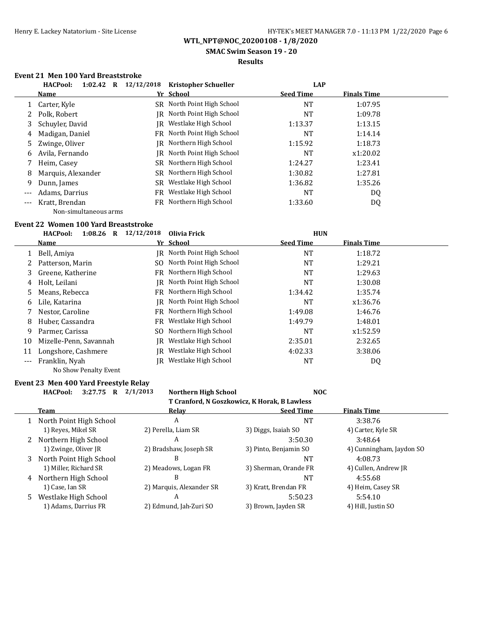**SMAC Swim Season 19 - 20**

# **Results**

# **Event 21 Men 100 Yard Breaststroke**

|       | <b>HACPool:</b><br>1:02.42<br>$\bf{R}$ | 12/12/2018<br><b>Kristopher Schueller</b> | <b>LAP</b>       |                    |  |
|-------|----------------------------------------|-------------------------------------------|------------------|--------------------|--|
|       | Name                                   | Yr School                                 | <b>Seed Time</b> | <b>Finals Time</b> |  |
|       | Carter, Kyle                           | SR North Point High School                | NT               | 1:07.95            |  |
|       | Polk. Robert                           | IR North Point High School                | NT               | 1:09.78            |  |
| 3     | Schuyler, David                        | Westlake High School<br>IR                | 1:13.37          | 1:13.15            |  |
| 4     | Madigan, Daniel                        | FR North Point High School                | NT               | 1:14.14            |  |
|       | 5 Zwinge, Oliver                       | IR Northern High School                   | 1:15.92          | 1:18.73            |  |
| 6     | Avila, Fernando                        | IR North Point High School                | NT               | x1:20.02           |  |
|       | Heim, Casey                            | SR Northern High School                   | 1:24.27          | 1:23.41            |  |
| 8     | Marquis, Alexander                     | SR Northern High School                   | 1:30.82          | 1:27.81            |  |
| 9     | Dunn, James                            | SR Westlake High School                   | 1:36.82          | 1:35.26            |  |
| $---$ | Adams, Darrius                         | FR Westlake High School                   | <b>NT</b>        | DQ                 |  |
| $---$ | Kratt, Brendan                         | FR Northern High School                   | 1:33.60          | DQ                 |  |
|       | Non-simultaneous arms                  |                                           |                  |                    |  |

### **Event 22 Women 100 Yard Breaststroke**

|       | HACPool:<br>1:08.26<br>R | 12/12/2018 | Olivia Frick               | <b>HUN</b>       |                    |  |
|-------|--------------------------|------------|----------------------------|------------------|--------------------|--|
|       | <u>Name</u>              |            | Yr School                  | <b>Seed Time</b> | <b>Finals Time</b> |  |
|       | Bell, Amiya              |            | IR North Point High School | <b>NT</b>        | 1:18.72            |  |
|       | Patterson, Marin         | SO.        | North Point High School    | NT               | 1:29.21            |  |
| 3     | Greene, Katherine        |            | FR Northern High School    | <b>NT</b>        | 1:29.63            |  |
| 4     | Holt, Leilani            |            | JR North Point High School | NT               | 1:30.08            |  |
| 5.    | Means, Rebecca           |            | FR Northern High School    | 1:34.42          | 1:35.74            |  |
| 6     | Lile. Katarina           |            | IR North Point High School | NT               | x1:36.76           |  |
|       | Nestor, Caroline         |            | FR Northern High School    | 1:49.08          | 1:46.76            |  |
| 8     | Huber, Cassandra         |            | FR Westlake High School    | 1:49.79          | 1:48.01            |  |
| 9     | Parmer, Carissa          | SO.        | Northern High School       | <b>NT</b>        | x1:52.59           |  |
| 10    | Mizelle-Penn, Savannah   | IR         | Westlake High School       | 2:35.01          | 2:32.65            |  |
| 11    | Longshore, Cashmere      | IR         | Westlake High School       | 4:02.33          | 3:38.06            |  |
| $---$ | Franklin, Nyah           | IR-        | Westlake High School       | <b>NT</b>        | DQ                 |  |
|       | No Show Penalty Event    |            |                            |                  |                    |  |

## **Event 23 Men 400 Yard Freestyle Relay HACPool: 3:27.75 R 2/1/2013 Northern High School NOC**

# **T Cranford, N Goszkowicz, K Horak, B Lawless**

|    | <b>Team</b>             | Relay                    | <b>Seed Time</b>      | <b>Finals Time</b>       |
|----|-------------------------|--------------------------|-----------------------|--------------------------|
|    | North Point High School | A                        | <b>NT</b>             | 3:38.76                  |
|    | 1) Reyes, Mikel SR      | 2) Perella, Liam SR      | 3) Diggs, Isaiah SO   | 4) Carter, Kyle SR       |
|    | 2 Northern High School  | A                        | 3:50.30               | 3:48.64                  |
|    | 1) Zwinge, Oliver JR    | 2) Bradshaw, Joseph SR   | 3) Pinto, Benjamin SO | 4) Cunningham, Jaydon SO |
| 3  | North Point High School | B                        | NT                    | 4:08.73                  |
|    | 1) Miller, Richard SR   | 2) Meadows, Logan FR     | 3) Sherman, Orande FR | 4) Cullen, Andrew JR     |
| 4  | Northern High School    | B                        | NT                    | 4:55.68                  |
|    | 1) Case, Ian SR         | 2) Marquis, Alexander SR | 3) Kratt, Brendan FR  | 4) Heim, Casey SR        |
| 5. | Westlake High School    | A                        | 5:50.23               | 5:54.10                  |
|    | 1) Adams, Darrius FR    | 2) Edmund, Jah-Zuri SO   | 3) Brown, Jayden SR   | 4) Hill, Justin SO       |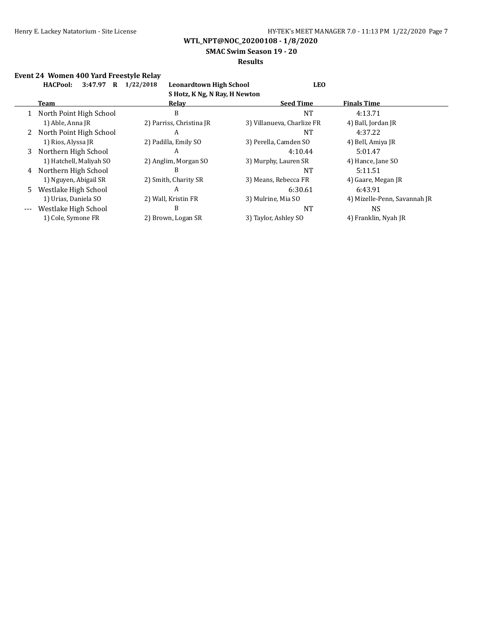**SMAC Swim Season 19 - 20**

## **Results**

# **Event 24 Women 400 Yard Freestyle Relay**

| <b>HACPool:</b><br>3:47.97<br>R | 1/22/2018                | <b>LEO</b>                 |                                |  |  |  |  |
|---------------------------------|--------------------------|----------------------------|--------------------------------|--|--|--|--|
| S Hotz, K Ng, N Ray, H Newton   |                          |                            |                                |  |  |  |  |
| Team                            | Relay                    | <b>Seed Time</b>           | <b>Finals Time</b>             |  |  |  |  |
| North Point High School         | B                        | <b>NT</b>                  | 4:13.71                        |  |  |  |  |
| 1) Able, Anna JR                | 2) Parriss, Christina JR | 3) Villanueva, Charlize FR | 4) Ball, Jordan JR             |  |  |  |  |
| North Point High School         | A                        | <b>NT</b>                  | 4:37.22                        |  |  |  |  |
| 1) Rios, Alyssa JR              | 2) Padilla, Emily SO     | 3) Perella, Camden SO      | 4) Bell, Amiya JR              |  |  |  |  |
| Northern High School            | A                        | 4:10.44                    | 5:01.47                        |  |  |  |  |
| 1) Hatchell, Maliyah SO         | 2) Anglim, Morgan SO     | 3) Murphy, Lauren SR       | 4) Hance, Jane SO              |  |  |  |  |
| Northern High School            | B                        | <b>NT</b>                  | 5:11.51                        |  |  |  |  |
| 1) Nguyen, Abigail SR           | 2) Smith, Charity SR     | 3) Means, Rebecca FR       | 4) Gaare, Megan JR             |  |  |  |  |
| Westlake High School            | A                        | 6:30.61                    | 6:43.91                        |  |  |  |  |
| 1) Urias, Daniela SO            | 2) Wall, Kristin FR      | 3) Mulrine, Mia SO         | 4) Mizelle-Penn, Savannah JR   |  |  |  |  |
| Westlake High School            | B                        | NT                         | NS.                            |  |  |  |  |
| 1) Cole, Symone FR              | 2) Brown, Logan SR       | 3) Taylor, Ashley SO       | 4) Franklin, Nyah JR           |  |  |  |  |
|                                 | 5.                       |                            | <b>Leonardtown High School</b> |  |  |  |  |